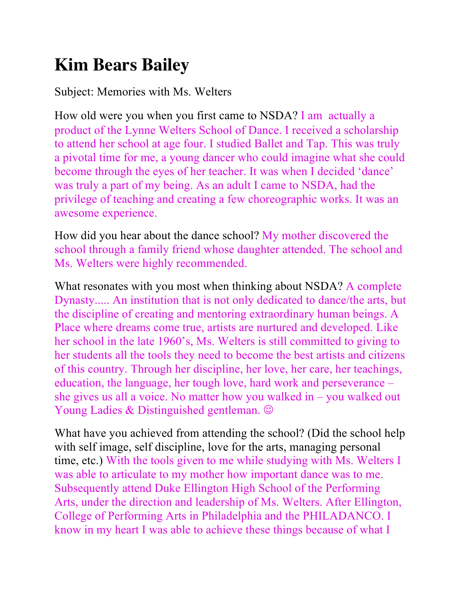## **Kim Bears Bailey**

Subject: Memories with Ms. Welters

How old were you when you first came to NSDA? I am actually a product of the Lynne Welters School of Dance. I received a scholarship to attend her school at age four. I studied Ballet and Tap. This was truly a pivotal time for me, a young dancer who could imagine what she could become through the eyes of her teacher. It was when I decided 'dance' was truly a part of my being. As an adult I came to NSDA, had the privilege of teaching and creating a few choreographic works. It was an awesome experience.

How did you hear about the dance school? My mother discovered the school through a family friend whose daughter attended. The school and Ms. Welters were highly recommended.

What resonates with you most when thinking about NSDA? A complete Dynasty..... An institution that is not only dedicated to dance/the arts, but the discipline of creating and mentoring extraordinary human beings. A Place where dreams come true, artists are nurtured and developed. Like her school in the late 1960's, Ms. Welters is still committed to giving to her students all the tools they need to become the best artists and citizens of this country. Through her discipline, her love, her care, her teachings, education, the language, her tough love, hard work and perseverance – she gives us all a voice. No matter how you walked in – you walked out Young Ladies & Distinguished gentleman.  $\odot$ 

What have you achieved from attending the school? (Did the school help with self image, self discipline, love for the arts, managing personal time, etc.) With the tools given to me while studying with Ms. Welters I was able to articulate to my mother how important dance was to me. Subsequently attend Duke Ellington High School of the Performing Arts, under the direction and leadership of Ms. Welters. After Ellington, College of Performing Arts in Philadelphia and the PHILADANCO. I know in my heart I was able to achieve these things because of what I